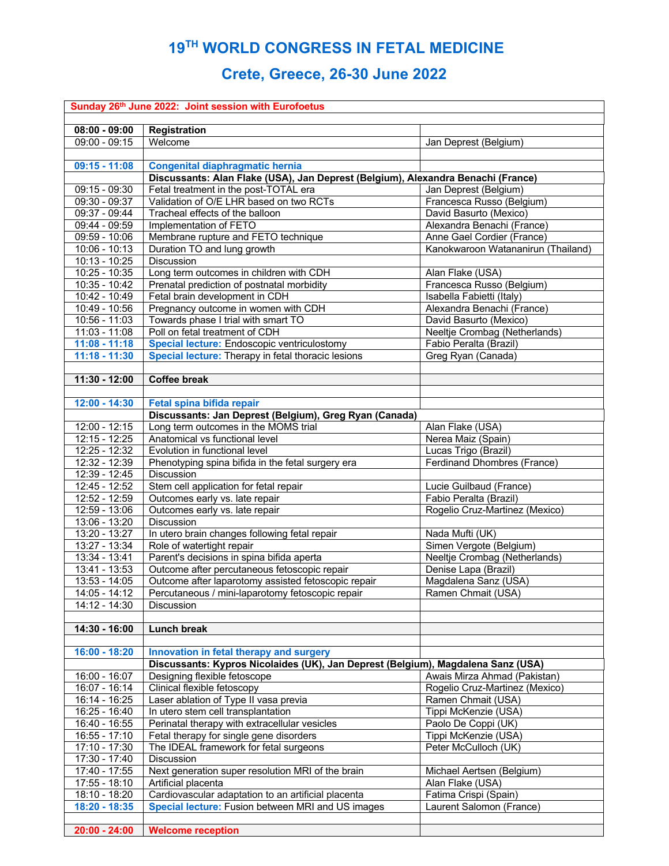## **19TH WORLD CONGRESS IN FETAL MEDICINE**

## **Crete, Greece, 26-30 June 2022**

| Sunday 26th June 2022: Joint session with Eurofoetus |                                                                                     |                                                     |  |  |
|------------------------------------------------------|-------------------------------------------------------------------------------------|-----------------------------------------------------|--|--|
| $08:00 - 09:00$                                      |                                                                                     |                                                     |  |  |
| $09:00 - 09:15$                                      | Registration<br>Welcome                                                             |                                                     |  |  |
|                                                      |                                                                                     | Jan Deprest (Belgium)                               |  |  |
| $09:15 - 11:08$                                      | <b>Congenital diaphragmatic hernia</b>                                              |                                                     |  |  |
|                                                      | Discussants: Alan Flake (USA), Jan Deprest (Belgium), Alexandra Benachi (France)    |                                                     |  |  |
| 09:15 - 09:30                                        | Fetal treatment in the post-TOTAL era                                               | Jan Deprest (Belgium)                               |  |  |
| 09:30 - 09:37                                        | Validation of O/E LHR based on two RCTs                                             | Francesca Russo (Belgium)                           |  |  |
| 09:37 - 09:44                                        | Tracheal effects of the balloon                                                     | David Basurto (Mexico)                              |  |  |
| 09:44 - 09:59                                        | Implementation of FETO                                                              | Alexandra Benachi (France)                          |  |  |
| $09:59 - 10:06$                                      | Membrane rupture and FETO technique                                                 | Anne Gael Cordier (France)                          |  |  |
| 10:06 - 10:13                                        | Duration TO and lung growth                                                         | Kanokwaroon Watananirun (Thailand)                  |  |  |
| $10:13 - 10:25$                                      | <b>Discussion</b>                                                                   |                                                     |  |  |
| $10:25 - 10:35$                                      | Long term outcomes in children with CDH                                             | Alan Flake (USA)                                    |  |  |
| 10:35 - 10:42                                        | Prenatal prediction of postnatal morbidity                                          | Francesca Russo (Belgium)                           |  |  |
| 10:42 - 10:49                                        | Fetal brain development in CDH                                                      | Isabella Fabietti (Italy)                           |  |  |
| 10:49 - 10:56                                        | Pregnancy outcome in women with CDH                                                 | Alexandra Benachi (France)                          |  |  |
| 10:56 - 11:03                                        | Towards phase I trial with smart TO                                                 | David Basurto (Mexico)                              |  |  |
| $11:03 - 11:08$                                      | Poll on fetal treatment of CDH                                                      | Neeltje Crombag (Netherlands)                       |  |  |
| $11:08 - 11:18$                                      | Special lecture: Endoscopic ventriculostomy                                         | Fabio Peralta (Brazil)                              |  |  |
| $11:18 - 11:30$                                      | Special lecture: Therapy in fetal thoracic lesions                                  | Greg Ryan (Canada)                                  |  |  |
|                                                      |                                                                                     |                                                     |  |  |
| $11:30 - 12:00$                                      | <b>Coffee break</b>                                                                 |                                                     |  |  |
|                                                      |                                                                                     |                                                     |  |  |
| 12:00 - 14:30                                        | Fetal spina bifida repair                                                           |                                                     |  |  |
|                                                      | Discussants: Jan Deprest (Belgium), Greg Ryan (Canada)                              |                                                     |  |  |
| 12:00 - 12:15                                        | Long term outcomes in the MOMS trial                                                | Alan Flake (USA)                                    |  |  |
| 12:15 - 12:25<br>$12:25 - 12:32$                     | Anatomical vs functional level<br>Evolution in functional level                     | Nerea Maiz (Spain)                                  |  |  |
| $12:32 - 12:39$                                      | Phenotyping spina bifida in the fetal surgery era                                   | Lucas Trigo (Brazil)<br>Ferdinand Dhombres (France) |  |  |
| 12:39 - 12:45                                        | Discussion                                                                          |                                                     |  |  |
| 12:45 - 12:52                                        | Stem cell application for fetal repair                                              | Lucie Guilbaud (France)                             |  |  |
| 12:52 - 12:59                                        | Outcomes early vs. late repair                                                      | Fabio Peralta (Brazil)                              |  |  |
| 12:59 - 13:06                                        | Outcomes early vs. late repair                                                      | Rogelio Cruz-Martinez (Mexico)                      |  |  |
| 13:06 - 13:20                                        | Discussion                                                                          |                                                     |  |  |
| $13:20 - 13:27$                                      | In utero brain changes following fetal repair                                       | Nada Mufti (UK)                                     |  |  |
| 13:27 - 13:34                                        | Role of watertight repair                                                           | Simen Vergote (Belgium)                             |  |  |
| 13:34 - 13:41                                        | Parent's decisions in spina bifida aperta                                           | Neeltje Crombag (Netherlands)                       |  |  |
| 13:41 - 13:53                                        | Outcome after percutaneous fetoscopic repair                                        | Denise Lapa (Brazil)                                |  |  |
| 13:53 - 14:05                                        | Outcome after laparotomy assisted fetoscopic repair                                 | Magdalena Sanz (USA)                                |  |  |
| $14:05 - 14:12$                                      | Percutaneous / mini-laparotomy fetoscopic repair                                    | Ramen Chmait (USA)                                  |  |  |
| 14:12 - 14:30                                        | Discussion                                                                          |                                                     |  |  |
|                                                      |                                                                                     |                                                     |  |  |
| $14:30 - 16:00$                                      | Lunch break                                                                         |                                                     |  |  |
|                                                      |                                                                                     |                                                     |  |  |
| 16:00 - 18:20                                        | Innovation in fetal therapy and surgery                                             |                                                     |  |  |
|                                                      | Discussants: Kypros Nicolaides (UK), Jan Deprest (Belgium), Magdalena Sanz (USA)    |                                                     |  |  |
| 16:00 - 16:07                                        | Designing flexible fetoscope                                                        | Awais Mirza Ahmad (Pakistan)                        |  |  |
| 16:07 - 16:14                                        | Clinical flexible fetoscopy                                                         | Rogelio Cruz-Martinez (Mexico)                      |  |  |
| 16:14 - 16:25                                        | Laser ablation of Type II vasa previa                                               | Ramen Chmait (USA)                                  |  |  |
| 16:25 - 16:40<br>$16:40 - 16:55$                     | In utero stem cell transplantation<br>Perinatal therapy with extracellular vesicles | Tippi McKenzie (USA)<br>Paolo De Coppi (UK)         |  |  |
| $16:55 - 17:10$                                      | Fetal therapy for single gene disorders                                             | Tippi McKenzie (USA)                                |  |  |
| $17:10 - 17:30$                                      | The IDEAL framework for fetal surgeons                                              | Peter McCulloch (UK)                                |  |  |
| 17:30 - 17:40                                        | Discussion                                                                          |                                                     |  |  |
| 17:40 - 17:55                                        | Next generation super resolution MRI of the brain                                   | Michael Aertsen (Belgium)                           |  |  |
| 17:55 - 18:10                                        | Artificial placenta                                                                 | Alan Flake (USA)                                    |  |  |
| 18:10 - 18:20                                        | Cardiovascular adaptation to an artificial placenta                                 | Fatima Crispi (Spain)                               |  |  |
| $18:20 - 18:35$                                      | Special lecture: Fusion between MRI and US images                                   | Laurent Salomon (France)                            |  |  |
|                                                      |                                                                                     |                                                     |  |  |
| $20:00 - 24:00$                                      | <b>Welcome reception</b>                                                            |                                                     |  |  |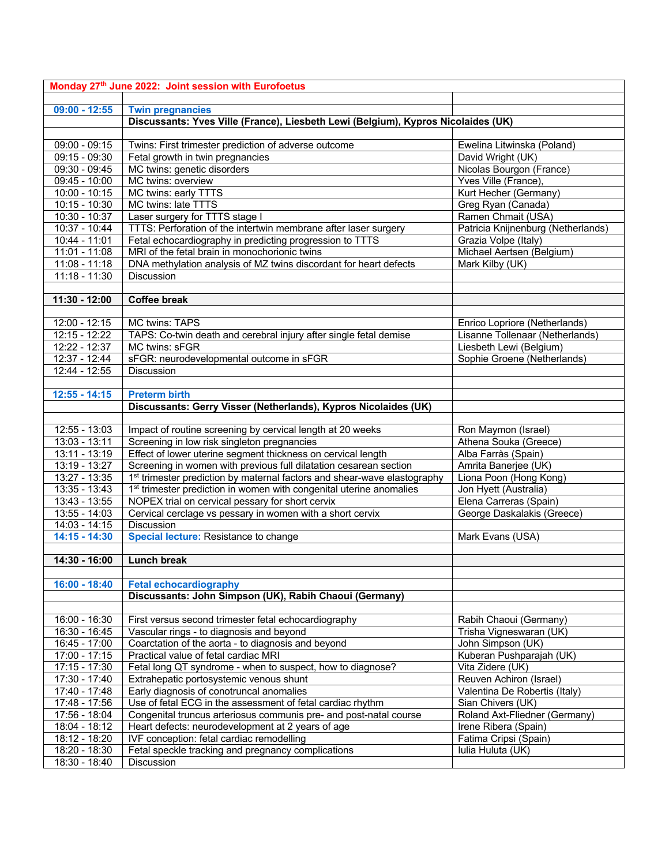| Monday 27th June 2022: Joint session with Eurofoetus |                                                                                      |                                    |  |
|------------------------------------------------------|--------------------------------------------------------------------------------------|------------------------------------|--|
|                                                      |                                                                                      |                                    |  |
| $09:00 - 12:55$                                      | <b>Twin pregnancies</b>                                                              |                                    |  |
|                                                      | Discussants: Yves Ville (France), Liesbeth Lewi (Belgium), Kypros Nicolaides (UK)    |                                    |  |
|                                                      |                                                                                      |                                    |  |
| $09:00 - 09:15$                                      | Twins: First trimester prediction of adverse outcome                                 | Ewelina Litwinska (Poland)         |  |
| $09:15 - 09:30$                                      | Fetal growth in twin pregnancies                                                     | David Wright (UK)                  |  |
| 09:30 - 09:45                                        | MC twins: genetic disorders                                                          | Nicolas Bourgon (France)           |  |
| $09:45 - 10:00$                                      | MC twins: overview                                                                   | Yves Ville (France),               |  |
| $10:00 - 10:15$                                      | MC twins: early TTTS                                                                 | Kurt Hecher (Germany)              |  |
| $10:15 - 10:30$                                      | MC twins: late TTTS                                                                  | Greg Ryan (Canada)                 |  |
| 10:30 - 10:37                                        | Laser surgery for TTTS stage I                                                       | Ramen Chmait (USA)                 |  |
| 10:37 - 10:44                                        | TTTS: Perforation of the intertwin membrane after laser surgery                      | Patricia Knijnenburg (Netherlands) |  |
| 10:44 - 11:01                                        | Fetal echocardiography in predicting progression to TTTS                             | Grazia Volpe (Italy)               |  |
| $11:01 - 11:08$                                      | MRI of the fetal brain in monochorionic twins                                        | Michael Aertsen (Belgium)          |  |
| $11:08 - 11:18$                                      | DNA methylation analysis of MZ twins discordant for heart defects                    | Mark Kilby (UK)                    |  |
| $11:18 - 11:30$                                      | Discussion                                                                           |                                    |  |
|                                                      |                                                                                      |                                    |  |
| 11:30 - 12:00                                        | <b>Coffee break</b>                                                                  |                                    |  |
|                                                      |                                                                                      |                                    |  |
| 12:00 - 12:15                                        | MC twins: TAPS                                                                       | Enrico Lopriore (Netherlands)      |  |
| $12:15 - 12:22$                                      | TAPS: Co-twin death and cerebral injury after single fetal demise                    | Lisanne Tollenaar (Netherlands)    |  |
| 12:22 - 12:37                                        | MC twins: sFGR                                                                       | Liesbeth Lewi (Belgium)            |  |
| $12:37 - 12:44$                                      | sFGR: neurodevelopmental outcome in sFGR                                             | Sophie Groene (Netherlands)        |  |
| $12:44 - 12:55$                                      | <b>Discussion</b>                                                                    |                                    |  |
|                                                      |                                                                                      |                                    |  |
| $12:55 - 14:15$                                      | <b>Preterm birth</b>                                                                 |                                    |  |
|                                                      | Discussants: Gerry Visser (Netherlands), Kypros Nicolaides (UK)                      |                                    |  |
|                                                      |                                                                                      |                                    |  |
| 12:55 - 13:03                                        | Impact of routine screening by cervical length at 20 weeks                           | Ron Maymon (Israel)                |  |
| 13:03 - 13:11                                        | Screening in low risk singleton pregnancies                                          | Athena Souka (Greece)              |  |
| 13:11 - 13:19                                        | Effect of lower uterine segment thickness on cervical length                         | Alba Farràs (Spain)                |  |
| $13:19 - 13:27$                                      | Screening in women with previous full dilatation cesarean section                    | Amrita Banerjee (UK)               |  |
| $13:27 - 13:35$                                      | 1 <sup>st</sup> trimester prediction by maternal factors and shear-wave elastography | Liona Poon (Hong Kong)             |  |
| 13:35 - 13:43                                        | 1 <sup>st</sup> trimester prediction in women with congenital uterine anomalies      | Jon Hyett (Australia)              |  |
| 13:43 - 13:55                                        | NOPEX trial on cervical pessary for short cervix                                     | Elena Carreras (Spain)             |  |
| 13:55 - 14:03                                        | Cervical cerclage vs pessary in women with a short cervix                            | George Daskalakis (Greece)         |  |
| 14:03 - 14:15                                        | Discussion                                                                           |                                    |  |
| $14:15 - 14:30$                                      | Special lecture: Resistance to change                                                | Mark Evans (USA)                   |  |
| 14:30 - 16:00                                        | <b>Lunch break</b>                                                                   |                                    |  |
|                                                      |                                                                                      |                                    |  |
| $16:00 - 18:40$                                      | <b>Fetal echocardiography</b>                                                        |                                    |  |
|                                                      | Discussants: John Simpson (UK), Rabih Chaoui (Germany)                               |                                    |  |
|                                                      |                                                                                      |                                    |  |
| 16:00 - 16:30                                        | First versus second trimester fetal echocardiography                                 | Rabih Chaoui (Germany)             |  |
| 16:30 - 16:45                                        | Vascular rings - to diagnosis and beyond                                             | Trisha Vigneswaran (UK)            |  |
| 16:45 - 17:00                                        | Coarctation of the aorta - to diagnosis and beyond                                   | John Simpson (UK)                  |  |
| $17:00 - 17:15$                                      | Practical value of fetal cardiac MRI                                                 | Kuberan Pushparajah (UK)           |  |
| 17:15 - 17:30                                        | Fetal long QT syndrome - when to suspect, how to diagnose?                           | Vita Zidere (UK)                   |  |
| $17:30 - 17:40$                                      | Extrahepatic portosystemic venous shunt                                              | Reuven Achiron (Israel)            |  |
| 17:40 - 17:48                                        | Early diagnosis of conotruncal anomalies                                             | Valentina De Robertis (Italy)      |  |
| 17:48 - 17:56                                        | Use of fetal ECG in the assessment of fetal cardiac rhythm                           | Sian Chivers (UK)                  |  |
| 17:56 - 18:04                                        | Congenital truncus arteriosus communis pre- and post-natal course                    | Roland Axt-Fliedner (Germany)      |  |
| 18:04 - 18:12                                        | Heart defects: neurodevelopment at 2 years of age                                    | Irene Ribera (Spain)               |  |
| 18:12 - 18:20                                        | IVF conception: fetal cardiac remodelling                                            | Fatima Cripsi (Spain)              |  |
| 18:20 - 18:30                                        | Fetal speckle tracking and pregnancy complications                                   | Iulia Huluta (UK)                  |  |
| 18:30 - 18:40                                        | Discussion                                                                           |                                    |  |
|                                                      |                                                                                      |                                    |  |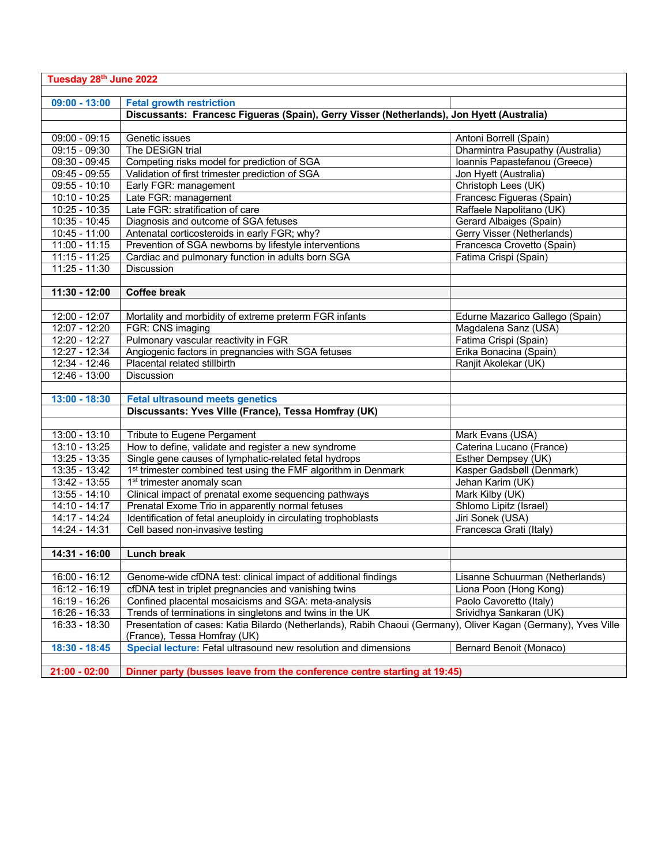| Tuesday 28th June 2022 |                                                                                                                |                                  |  |  |
|------------------------|----------------------------------------------------------------------------------------------------------------|----------------------------------|--|--|
|                        |                                                                                                                |                                  |  |  |
| $09:00 - 13:00$        | <b>Fetal growth restriction</b>                                                                                |                                  |  |  |
|                        | Discussants: Francesc Figueras (Spain), Gerry Visser (Netherlands), Jon Hyett (Australia)                      |                                  |  |  |
| $09:00 - 09:15$        | Genetic issues                                                                                                 | Antoni Borrell (Spain)           |  |  |
| $09:15 - 09:30$        | The DESiGN trial                                                                                               | Dharmintra Pasupathy (Australia) |  |  |
| 09:30 - 09:45          | Competing risks model for prediction of SGA                                                                    | Ioannis Papastefanou (Greece)    |  |  |
| 09:45 - 09:55          | Validation of first trimester prediction of SGA                                                                | Jon Hyett (Australia)            |  |  |
| $09:55 - 10:10$        | Early FGR: management                                                                                          | Christoph Lees (UK)              |  |  |
| 10:10 - 10:25          | Late FGR: management                                                                                           | Francesc Figueras (Spain)        |  |  |
| $10:25 - 10:35$        | Late FGR: stratification of care                                                                               | Raffaele Napolitano (UK)         |  |  |
| 10:35 - 10:45          | Diagnosis and outcome of SGA fetuses                                                                           | Gerard Albaiges (Spain)          |  |  |
| 10:45 - 11:00          | Antenatal corticosteroids in early FGR; why?                                                                   | Gerry Visser (Netherlands)       |  |  |
| $11:00 - 11:15$        | Prevention of SGA newborns by lifestyle interventions                                                          | Francesca Crovetto (Spain)       |  |  |
| $11:15 - 11:25$        | Cardiac and pulmonary function in adults born SGA                                                              | Fatima Crispi (Spain)            |  |  |
| $11:25 - 11:30$        | Discussion                                                                                                     |                                  |  |  |
|                        |                                                                                                                |                                  |  |  |
| 11:30 - 12:00          | <b>Coffee break</b>                                                                                            |                                  |  |  |
|                        |                                                                                                                |                                  |  |  |
| 12:00 - 12:07          | Mortality and morbidity of extreme preterm FGR infants                                                         | Edurne Mazarico Gallego (Spain)  |  |  |
| $12:07 - 12:20$        | FGR: CNS imaging                                                                                               | Magdalena Sanz (USA)             |  |  |
| $12:20 - 12:27$        | Pulmonary vascular reactivity in FGR                                                                           | Fatima Crispi (Spain)            |  |  |
| 12:27 - 12:34          | Angiogenic factors in pregnancies with SGA fetuses                                                             | Erika Bonacina (Spain)           |  |  |
| 12:34 - 12:46          | Placental related stillbirth                                                                                   | Ranjit Akolekar (UK)             |  |  |
| 12:46 - 13:00          | <b>Discussion</b>                                                                                              |                                  |  |  |
|                        |                                                                                                                |                                  |  |  |
| $13:00 - 18:30$        | <b>Fetal ultrasound meets genetics</b>                                                                         |                                  |  |  |
|                        | Discussants: Yves Ville (France), Tessa Homfray (UK)                                                           |                                  |  |  |
|                        |                                                                                                                |                                  |  |  |
| $13:00 - 13:10$        | Tribute to Eugene Pergament                                                                                    | Mark Evans (USA)                 |  |  |
| $13:10 - 13:25$        | How to define, validate and register a new syndrome                                                            | Caterina Lucano (France)         |  |  |
| 13:25 - 13:35          | Single gene causes of lymphatic-related fetal hydrops                                                          | Esther Dempsey (UK)              |  |  |
| 13:35 - 13:42          | 1 <sup>st</sup> trimester combined test using the FMF algorithm in Denmark                                     | Kasper Gadsbøll (Denmark)        |  |  |
| 13:42 - 13:55          | 1 <sup>st</sup> trimester anomaly scan                                                                         | Jehan Karim (UK)                 |  |  |
| 13:55 - 14:10          | Clinical impact of prenatal exome sequencing pathways                                                          | Mark Kilby (UK)                  |  |  |
| 14:10 - 14:17          | Prenatal Exome Trio in apparently normal fetuses                                                               | Shlomo Lipitz (Israel)           |  |  |
| 14:17 - 14:24          | Identification of fetal aneuploidy in circulating trophoblasts                                                 | Jiri Sonek (USA)                 |  |  |
| 14:24 - 14:31          | Cell based non-invasive testing                                                                                | Francesca Grati (Italy)          |  |  |
|                        |                                                                                                                |                                  |  |  |
| 14:31 - 16:00          | <b>Lunch break</b>                                                                                             |                                  |  |  |
|                        |                                                                                                                |                                  |  |  |
| 16:00 - 16:12          | Genome-wide cfDNA test: clinical impact of additional findings                                                 | Lisanne Schuurman (Netherlands)  |  |  |
| 16:12 - 16:19          | cfDNA test in triplet pregnancies and vanishing twins                                                          | Liona Poon (Hong Kong)           |  |  |
| 16:19 - 16:26          | Confined placental mosaicisms and SGA: meta-analysis                                                           | Paolo Cavoretto (Italy)          |  |  |
| 16:26 - 16:33          | Trends of terminations in singletons and twins in the UK                                                       | Srividhya Sankaran (UK)          |  |  |
| 16:33 - 18:30          | Presentation of cases: Katia Bilardo (Netherlands), Rabih Chaoui (Germany), Oliver Kagan (Germany), Yves Ville |                                  |  |  |
|                        | (France), Tessa Homfray (UK)                                                                                   |                                  |  |  |
| $18:30 - 18:45$        | Special lecture: Fetal ultrasound new resolution and dimensions                                                | Bernard Benoit (Monaco)          |  |  |
|                        |                                                                                                                |                                  |  |  |
| $21:00 - 02:00$        | Dinner party (busses leave from the conference centre starting at 19:45)                                       |                                  |  |  |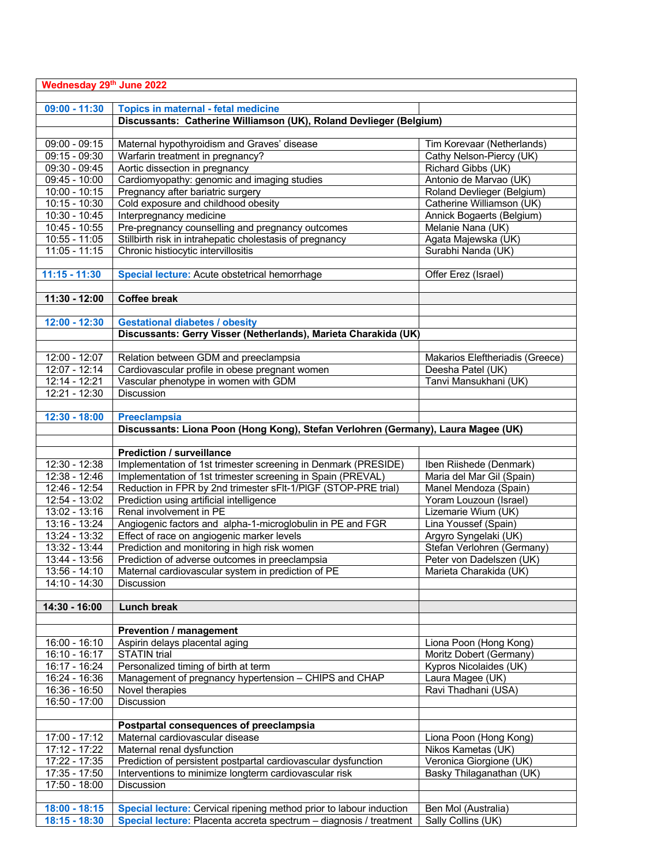| Wednesday 29th June 2022 |                                                                                   |                                 |  |
|--------------------------|-----------------------------------------------------------------------------------|---------------------------------|--|
|                          |                                                                                   |                                 |  |
| $09:00 - 11:30$          | <b>Topics in maternal - fetal medicine</b>                                        |                                 |  |
|                          | Discussants: Catherine Williamson (UK), Roland Devlieger (Belgium)                |                                 |  |
|                          |                                                                                   |                                 |  |
| $09:00 - 09:15$          | Maternal hypothyroidism and Graves' disease                                       | Tim Korevaar (Netherlands)      |  |
| 09:15 - 09:30            | Warfarin treatment in pregnancy?                                                  | Cathy Nelson-Piercy (UK)        |  |
| 09:30 - 09:45            | Aortic dissection in pregnancy                                                    | Richard Gibbs (UK)              |  |
| 09:45 - 10:00            | Cardiomyopathy: genomic and imaging studies                                       | Antonio de Marvao (UK)          |  |
| $10:00 - 10:15$          | Pregnancy after bariatric surgery                                                 | Roland Devlieger (Belgium)      |  |
| $10:15 - 10:30$          | Cold exposure and childhood obesity                                               | Catherine Williamson (UK)       |  |
| $10:30 - 10:45$          | Interpregnancy medicine                                                           | Annick Bogaerts (Belgium)       |  |
| $10:45 - 10:55$          | Pre-pregnancy counselling and pregnancy outcomes                                  | Melanie Nana (UK)               |  |
| $10:55 - 11:05$          | Stillbirth risk in intrahepatic cholestasis of pregnancy                          | Agata Majewska (UK)             |  |
| $11:05 - 11:15$          | Chronic histiocytic intervillositis                                               | Surabhi Nanda (UK)              |  |
|                          |                                                                                   |                                 |  |
| $11:15 - 11:30$          | Special lecture: Acute obstetrical hemorrhage                                     | Offer Erez (Israel)             |  |
|                          |                                                                                   |                                 |  |
| $11:30 - 12:00$          | <b>Coffee break</b>                                                               |                                 |  |
|                          |                                                                                   |                                 |  |
| $12:00 - 12:30$          | <b>Gestational diabetes / obesity</b>                                             |                                 |  |
|                          | Discussants: Gerry Visser (Netherlands), Marieta Charakida (UK)                   |                                 |  |
|                          |                                                                                   |                                 |  |
| 12:00 - 12:07            | Relation between GDM and preeclampsia                                             | Makarios Eleftheriadis (Greece) |  |
| 12:07 - 12:14            | Cardiovascular profile in obese pregnant women                                    | Deesha Patel (UK)               |  |
| 12:14 - 12:21            | Vascular phenotype in women with GDM                                              | Tanvi Mansukhani (UK)           |  |
| $12:21 - 12:30$          | Discussion                                                                        |                                 |  |
|                          |                                                                                   |                                 |  |
| 12:30 - 18:00            | <b>Preeclampsia</b>                                                               |                                 |  |
|                          | Discussants: Liona Poon (Hong Kong), Stefan Verlohren (Germany), Laura Magee (UK) |                                 |  |
|                          | <b>Prediction / surveillance</b>                                                  |                                 |  |
| $12:30 - 12:38$          | Implementation of 1st trimester screening in Denmark (PRESIDE)                    | Iben Riishede (Denmark)         |  |
| $12:38 - 12:46$          | Implementation of 1st trimester screening in Spain (PREVAL)                       | Maria del Mar Gil (Spain)       |  |
| 12:46 - 12:54            | Reduction in FPR by 2nd trimester sFIt-1/PIGF (STOP-PRE trial)                    | Manel Mendoza (Spain)           |  |
| 12:54 - 13:02            | Prediction using artificial intelligence                                          | Yoram Louzoun (Israel)          |  |
| $13:02 - 13:16$          | Renal involvement in PE                                                           | Lizemarie Wium (UK)             |  |
| 13:16 - 13:24            | Angiogenic factors and alpha-1-microglobulin in PE and FGR                        | Lina Youssef (Spain)            |  |
| $13:24 - 13:32$          | Effect of race on angiogenic marker levels                                        | Argyro Syngelaki (UK)           |  |
| $13:32 - 13:44$          | Prediction and monitoring in high risk women                                      | Stefan Verlohren (Germany)      |  |
| 13:44 - 13:56            | Prediction of adverse outcomes in preeclampsia                                    | Peter von Dadelszen (UK)        |  |
| $13:56 - 14:10$          | Maternal cardiovascular system in prediction of PE                                | Marieta Charakida (UK)          |  |
| 14:10 - 14:30            | <b>Discussion</b>                                                                 |                                 |  |
|                          |                                                                                   |                                 |  |
| 14:30 - 16:00            | Lunch break                                                                       |                                 |  |
|                          |                                                                                   |                                 |  |
|                          | <b>Prevention / management</b>                                                    |                                 |  |
| 16:00 - 16:10            | Aspirin delays placental aging                                                    | Liona Poon (Hong Kong)          |  |
| $16:10 - 16:17$          | <b>STATIN</b> trial                                                               | Moritz Dobert (Germany)         |  |
| 16:17 - 16:24            | Personalized timing of birth at term                                              | Kypros Nicolaides (UK)          |  |
| 16:24 - 16:36            | Management of pregnancy hypertension - CHIPS and CHAP                             | Laura Magee (UK)                |  |
| 16:36 - 16:50            | Novel therapies                                                                   | Ravi Thadhani (USA)             |  |
| $16:50 - 17:00$          | Discussion                                                                        |                                 |  |
|                          |                                                                                   |                                 |  |
|                          | Postpartal consequences of preeclampsia                                           |                                 |  |
| 17:00 - 17:12            | Maternal cardiovascular disease                                                   | Liona Poon (Hong Kong)          |  |
| 17:12 - 17:22            | Maternal renal dysfunction                                                        | Nikos Kametas (UK)              |  |
| 17:22 - 17:35            | Prediction of persistent postpartal cardiovascular dysfunction                    | Veronica Giorgione (UK)         |  |
| 17:35 - 17:50            | Interventions to minimize longterm cardiovascular risk                            | Basky Thilaganathan (UK)        |  |
| 17:50 - 18:00            | Discussion                                                                        |                                 |  |
|                          |                                                                                   |                                 |  |
| $18:00 - 18:15$          | Special lecture: Cervical ripening method prior to labour induction               | Ben Mol (Australia)             |  |
| 18:15 - 18:30            | Special lecture: Placenta accreta spectrum - diagnosis / treatment                | Sally Collins (UK)              |  |